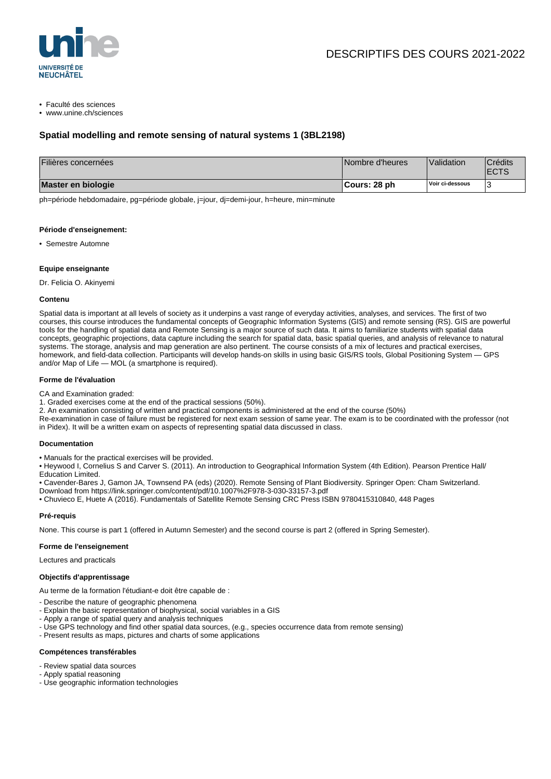

• Faculté des sciences

• www.unine.ch/sciences

# **Spatial modelling and remote sensing of natural systems 1 (3BL2198)**

| Filières concernées | Nombre d'heures | Validation      | <b>Crédits</b><br><b>IECTS</b> |
|---------------------|-----------------|-----------------|--------------------------------|
| Master en biologie  | ¶Cours: 28 ph   | Voir ci-dessous |                                |

ph=période hebdomadaire, pg=période globale, j=jour, dj=demi-jour, h=heure, min=minute

#### **Période d'enseignement:**

• Semestre Automne

### **Equipe enseignante**

Dr. Felicia O. Akinyemi

#### **Contenu**

Spatial data is important at all levels of society as it underpins a vast range of everyday activities, analyses, and services. The first of two courses, this course introduces the fundamental concepts of Geographic Information Systems (GIS) and remote sensing (RS). GIS are powerful tools for the handling of spatial data and Remote Sensing is a major source of such data. It aims to familiarize students with spatial data concepts, geographic projections, data capture including the search for spatial data, basic spatial queries, and analysis of relevance to natural systems. The storage, analysis and map generation are also pertinent. The course consists of a mix of lectures and practical exercises, homework, and field-data collection. Participants will develop hands-on skills in using basic GIS/RS tools, Global Positioning System — GPS and/or Map of Life — MOL (a smartphone is required).

### **Forme de l'évaluation**

CA and Examination graded:

- 1. Graded exercises come at the end of the practical sessions (50%).
- 2. An examination consisting of written and practical components is administered at the end of the course (50%)
- Re-examination in case of failure must be registered for next exam session of same year. The exam is to be coordinated with the professor (not in Pidex). It will be a written exam on aspects of representing spatial data discussed in class.

### **Documentation**

• Manuals for the practical exercises will be provided.

• Heywood I, Cornelius S and Carver S. (2011). An introduction to Geographical Information System (4th Edition). Pearson Prentice Hall/ Education Limited.

• Cavender-Bares J, Gamon JA, Townsend PA (eds) (2020). Remote Sensing of Plant Biodiversity. Springer Open: Cham Switzerland.

Download from https://link.springer.com/content/pdf/10.1007%2F978-3-030-33157-3.pdf

• Chuvieco E, Huete A (2016). Fundamentals of Satellite Remote Sensing CRC Press ISBN 9780415310840, 448 Pages

### **Pré-requis**

None. This course is part 1 (offered in Autumn Semester) and the second course is part 2 (offered in Spring Semester).

### **Forme de l'enseignement**

Lectures and practicals

## **Objectifs d'apprentissage**

Au terme de la formation l'étudiant-e doit être capable de :

- Describe the nature of geographic phenomena
- Explain the basic representation of biophysical, social variables in a GIS
- Apply a range of spatial query and analysis techniques
- Use GPS technology and find other spatial data sources, (e.g., species occurrence data from remote sensing)
- Present results as maps, pictures and charts of some applications

# **Compétences transférables**

- Review spatial data sources
- Apply spatial reasoning
- Use geographic information technologies